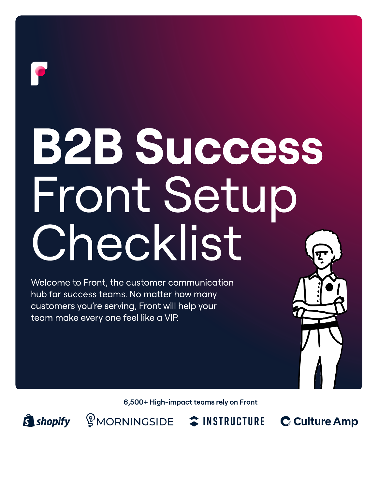# B2B Success Front Setup Checklist

Welcome to Front, the customer communication hub for success teams. No matter how many customers you're serving, Front will help your team make every one feel like a VIP.

6,500+ High-impact teams rely on Front

S shopify

**SMORNINGSIDE CONSTRUCTURE** 

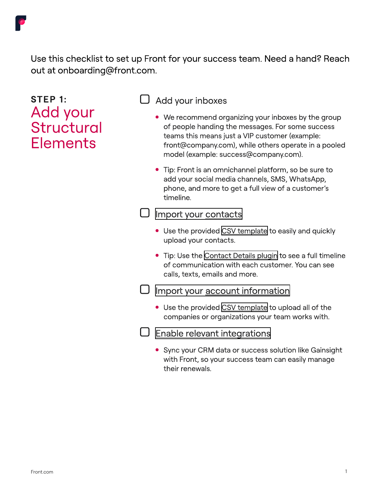

Use this checklist to set up Front for your success team. Need a hand? Reach out at onboarding@front.com.

## step 1:<br>Add your<br>Structural **Elements**

#### Add your inboxes

- We recommend organizing your inboxes by the group of people handing the messages. For some success teams this means just a VIP customer (example: front@company.com), while others operate in a pooled model (example: success@company.com).
- Tip: Front is an omnichannel platform, so be sure to add your social media channels, SMS, WhatsApp, phone, and more to get a full view of a customer's timeline.

#### $\Box$  [Import your contacts](https://help.front.com/t/3624vh/import-upload-and-export-contacts-in-front)

- Use the provided [CSV template](https://www.dropbox.com/s/qpy9hovj5kj92t3/Front%20Contact%20Import%20Template%20%28Upload%29%20-%20Front%20Import%20Contacts%20Template.csv?dl=0) to easily and quickly upload your contacts.
- Tip: Use the [Contact Details plugin](https://help.front.com/t/63vv76/how-to-see-contact-details-and-communication-history) to see a full timeline of communication with each customer. You can see calls, texts, emails and more.

#### $\Box$  [Import your account information](https://help.front.com/t/h7h1h2s/understanding-front-accounts)

- Use the provided [CSV template](https://help.front.com/t/35h1yq9/upload-accounts-with-a-csv) to upload all of the companies or organizations your team works with.
- [Enable relevant integrations](https://help.front.com/t/18wrm1/introduction-to-front-integrations)
	- Sync your CRM data or success solution like Gainsight with Front, so your success team can easily manage their renewals.